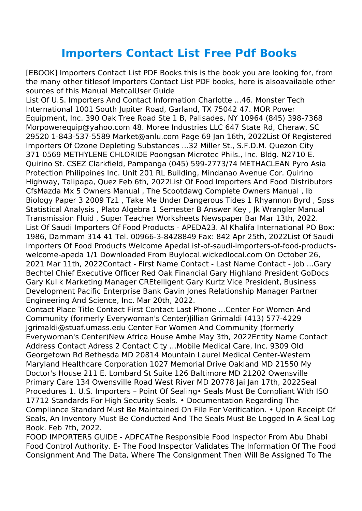## **Importers Contact List Free Pdf Books**

[EBOOK] Importers Contact List PDF Books this is the book you are looking for, from the many other titlesof Importers Contact List PDF books, here is alsoavailable other sources of this Manual MetcalUser Guide

List Of U.S. Importers And Contact Information Charlotte ...46. Monster Tech International 1001 South Jupiter Road, Garland, TX 75042 47. MOR Power Equipment, Inc. 390 Oak Tree Road Ste 1 B, Palisades, NY 10964 (845) 398-7368 Morpowerequip@yahoo.com 48. Moree Industries LLC 647 State Rd, Cheraw, SC 29520 1-843-537-5589 Market@anlu.com Page 69 Jan 16th, 2022List Of Registered Importers Of Ozone Depleting Substances ...32 Miller St., S.F.D.M. Quezon City 371-0569 METHYLENE CHLORIDE Poongsan Microtec Phils., Inc. Bldg. N2710 E. Quirino St. CSEZ Clarkfield, Pampanga (045) 599-2773/74 METHACLEAN Pyro Asia Protection Philippines Inc. Unit 201 RL Building, Mindanao Avenue Cor. Quirino Highway, Talipapa, Quez Feb 6th, 2022List Of Food Importers And Food Distributors CfsMazda Mx 5 Owners Manual , The Scootdawg Complete Owners Manual , Ib Biology Paper 3 2009 Tz1 , Take Me Under Dangerous Tides 1 Rhyannon Byrd , Spss Statistical Analysis , Plato Algebra 1 Semester B Answer Key , Jk Wrangler Manual Transmission Fluid , Super Teacher Worksheets Newspaper Bar Mar 13th, 2022. List Of Saudi Importers Of Food Products - APEDA23. Al Khalifa International PO Box: 1986, Dammam 314 41 Tel. 00966-3-8428849 Fax: 842 Apr 25th, 2022List Of Saudi Importers Of Food Products Welcome ApedaList-of-saudi-importers-of-food-productswelcome-apeda 1/1 Downloaded From Buylocal.wickedlocal.com On October 26, 2021 Mar 11th, 2022Contact - First Name Contact - Last Name Contact - Job ...Gary Bechtel Chief Executive Officer Red Oak Financial Gary Highland President GoDocs Gary Kulik Marketing Manager CREtelligent Gary Kurtz Vice President, Business Development Pacific Enterprise Bank Gavin Jones Relationship Manager Partner Engineering And Science, Inc. Mar 20th, 2022.

Contact Place Title Contact First Contact Last Phone ...Center For Women And Community (formerly Everywoman's Center)Jillian Grimaldi (413) 577-4229 Jgrimaldi@stuaf.umass.edu Center For Women And Community (formerly Everywoman's Center)New Africa House Amhe May 3th, 2022Entity Name Contact Address Contact Adress 2 Contact City ...Mobile Medical Care, Inc. 9309 Old Georgetown Rd Bethesda MD 20814 Mountain Laurel Medical Center-Western Maryland Healthcare Corporation 1027 Memorial Drive Oakland MD 21550 My Doctor's House 211 E. Lombard St Suite 126 Baltimore MD 21202 Owensville Primary Care 134 Owensville Road West River MD 20778 Jai Jan 17th, 2022Seal Procedures 1. U.S. Importers – Point Of Sealing• Seals Must Be Compliant With ISO 17712 Standards For High Security Seals. • Documentation Regarding The Compliance Standard Must Be Maintained On File For Verification. • Upon Receipt Of Seals, An Inventory Must Be Conducted And The Seals Must Be Logged In A Seal Log Book. Feb 7th, 2022.

FOOD IMPORTERS GUIDE - ADFCAThe Responsible Food Inspector From Abu Dhabi Food Control Authority. E- The Food Inspector Validates The Information Of The Food Consignment And The Data, Where The Consignment Then Will Be Assigned To The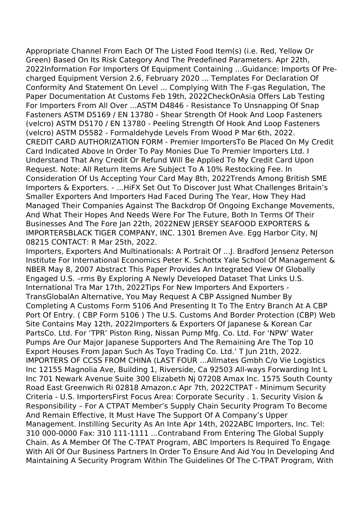Appropriate Channel From Each Of The Listed Food Item(s) (i.e. Red, Yellow Or Green) Based On Its Risk Category And The Predefined Parameters. Apr 22th, 2022Information For Importers Of Equipment Containing ...Guidance: Imports Of Precharged Equipment Version 2.6, February 2020 ... Templates For Declaration Of Conformity And Statement On Level ... Complying With The F-gas Regulation, The Paper Documentation At Customs Feb 19th, 2022CheckOnAsia Offers Lab Testing For Importers From All Over ...ASTM D4846 - Resistance To Unsnapping Of Snap Fasteners ASTM D5169 / EN 13780 - Shear Strength Of Hook And Loop Fasteners (velcro) ASTM D5170 / EN 13780 - Peeling Strength Of Hook And Loop Fasteners (velcro) ASTM D5582 - Formaldehyde Levels From Wood P Mar 6th, 2022. CREDIT CARD AUTHORIZATION FORM - Premier ImportersTo Be Placed On My Credit Card Indicated Above In Order To Pay Monies Due To Premier Importers Ltd. I Understand That Any Credit Or Refund Will Be Applied To My Credit Card Upon Request. Note: All Return Items Are Subject To A 10% Restocking Fee. In Consideration Of Us Accepting Your Card May 8th, 2022Trends Among British SME Importers & Exporters. - …HiFX Set Out To Discover Just What Challenges Britain's Smaller Exporters And Importers Had Faced During The Year, How They Had Managed Their Companies Against The Backdrop Of Ongoing Exchange Movements, And What Their Hopes And Needs Were For The Future, Both In Terms Of Their Businesses And The Fore Jan 22th, 2022NEW JERSEY SEAFOOD EXPORTERS & IMPORTERSBLACK TIGER COMPANY, INC. 1301 Bremen Ave. Egg Harbor City, NJ 08215 CONTACT: R Mar 25th, 2022.

Importers, Exporters And Multinationals: A Portrait Of ...J. Bradford Jensenz Peterson Institute For International Economics Peter K. Schottx Yale School Of Management & NBER May 8, 2007 Abstract This Paper Provides An Integrated View Of Globally Engaged U.S. –rms By Exploring A Newly Developed Dataset That Links U.S. International Tra Mar 17th, 2022Tips For New Importers And Exporters - TransGlobalAn Alternative, You May Request A CBP Assigned Number By Completing A Customs Form 5106 And Presenting It To The Entry Branch At A CBP Port Of Entry. ( CBP Form 5106 ) The U.S. Customs And Border Protection (CBP) Web Site Contains May 12th, 2022Importers & Exporters Of Japanese & Korean Car PartsCo. Ltd. For 'TPR' Piston Ring, Nissan Pump Mfg. Co. Ltd. For 'NPW' Water Pumps Are Our Major Japanese Supporters And The Remaining Are The Top 10 Export Houses From Japan Such As Toyo Trading Co. Ltd.' T Jun 21th, 2022. IMPORTERS OF CCSS FROM CHINA (LAST FOUR …Allmates Gmbh C/o Vie Logistics Inc 12155 Magnolia Ave, Building 1, Riverside, Ca 92503 All‐ways Forwarding Int L Inc 701 Newark Avenue Suite 300 Elizabeth Nj 07208 Amax Inc. 1575 South County Road East Greenwich Ri 02818 Amazon.c Apr 7th, 2022CTPAT - Minimum Security Criteria - U.S. ImportersFirst Focus Area: Corporate Security . 1. Security Vision & Responsibility – For A CTPAT Member's Supply Chain Security Program To Become And Remain Effective, It Must Have The Support Of A Company's Upper Management. Instilling Security As An Inte Apr 14th, 2022ABC Importers, Inc. Tel: 310 000-0000 Fax: 310 111-1111 ...Contraband From Entering The Global Supply Chain. As A Member Of The C-TPAT Program, ABC Importers Is Required To Engage With All Of Our Business Partners In Order To Ensure And Aid You In Developing And Maintaining A Security Program Within The Guidelines Of The C-TPAT Program, With